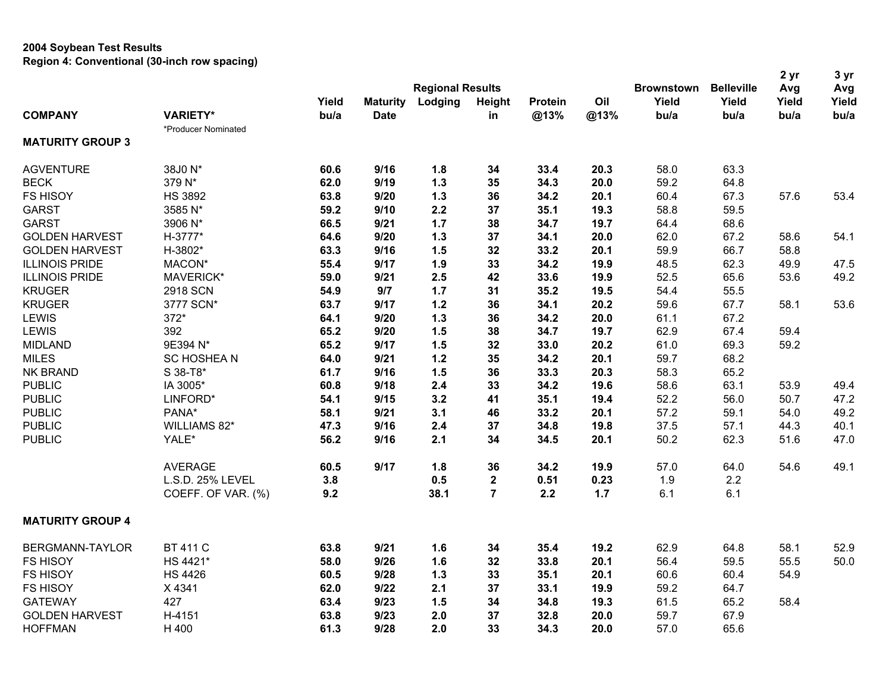## **2004 Soybean Test Results Region 4: Conventional (30-inch row spacing)**

|                         |                     |       |                 |                         |                |         |      |                   |                   | 2 yr  | 3 yr  |
|-------------------------|---------------------|-------|-----------------|-------------------------|----------------|---------|------|-------------------|-------------------|-------|-------|
|                         |                     |       |                 | <b>Regional Results</b> |                |         |      | <b>Brownstown</b> | <b>Belleville</b> | Avg   | Avg   |
|                         |                     | Yield | <b>Maturity</b> | Lodging                 | Height         | Protein | Oil  | Yield             | Yield             | Yield | Yield |
| <b>COMPANY</b>          | <b>VARIETY*</b>     | bu/a  | <b>Date</b>     |                         | in             | @13%    | @13% | bu/a              | bu/a              | bu/a  | bu/a  |
|                         | *Producer Nominated |       |                 |                         |                |         |      |                   |                   |       |       |
| <b>MATURITY GROUP 3</b> |                     |       |                 |                         |                |         |      |                   |                   |       |       |
| <b>AGVENTURE</b>        | 38J0 N*             | 60.6  | 9/16            | 1.8                     | 34             | 33.4    | 20.3 | 58.0              | 63.3              |       |       |
| <b>BECK</b>             | 379 N*              | 62.0  | 9/19            | $1.3$                   | 35             | 34.3    | 20.0 | 59.2              | 64.8              |       |       |
| <b>FS HISOY</b>         | <b>HS 3892</b>      | 63.8  | 9/20            | $1.3$                   | 36             | 34.2    | 20.1 | 60.4              | 67.3              | 57.6  | 53.4  |
| <b>GARST</b>            | 3585 N*             | 59.2  | 9/10            | 2.2                     | 37             | 35.1    | 19.3 | 58.8              | 59.5              |       |       |
| <b>GARST</b>            | 3906 N*             | 66.5  | 9/21            | 1.7                     | 38             | 34.7    | 19.7 | 64.4              | 68.6              |       |       |
| <b>GOLDEN HARVEST</b>   | H-3777*             | 64.6  | 9/20            | $1.3$                   | 37             | 34.1    | 20.0 | 62.0              | 67.2              | 58.6  | 54.1  |
| <b>GOLDEN HARVEST</b>   | H-3802*             | 63.3  | 9/16            | 1.5                     | 32             | 33.2    | 20.1 | 59.9              | 66.7              | 58.8  |       |
| <b>ILLINOIS PRIDE</b>   | MACON*              | 55.4  | 9/17            | 1.9                     | 33             | 34.2    | 19.9 | 48.5              | 62.3              | 49.9  | 47.5  |
| <b>ILLINOIS PRIDE</b>   | MAVERICK*           | 59.0  | 9/21            | 2.5                     | 42             | 33.6    | 19.9 | 52.5              | 65.6              | 53.6  | 49.2  |
| <b>KRUGER</b>           | 2918 SCN            | 54.9  | 9/7             | 1.7                     | 31             | 35.2    | 19.5 | 54.4              | 55.5              |       |       |
| <b>KRUGER</b>           | 3777 SCN*           | 63.7  | 9/17            | 1.2                     | 36             | 34.1    | 20.2 | 59.6              | 67.7              | 58.1  | 53.6  |
| <b>LEWIS</b>            | 372*                | 64.1  | 9/20            | $1.3$                   | 36             | 34.2    | 20.0 | 61.1              | 67.2              |       |       |
| <b>LEWIS</b>            | 392                 | 65.2  | 9/20            | 1.5                     | 38             | 34.7    | 19.7 | 62.9              | 67.4              | 59.4  |       |
| <b>MIDLAND</b>          | 9E394 N*            | 65.2  | 9/17            | 1.5                     | 32             | 33.0    | 20.2 | 61.0              | 69.3              | 59.2  |       |
| <b>MILES</b>            | <b>SC HOSHEAN</b>   | 64.0  | 9/21            | 1.2                     | 35             | 34.2    | 20.1 | 59.7              | 68.2              |       |       |
| <b>NK BRAND</b>         | S 38-T8*            | 61.7  | 9/16            | 1.5                     | 36             | 33.3    | 20.3 | 58.3              | 65.2              |       |       |
| <b>PUBLIC</b>           | IA 3005*            | 60.8  | 9/18            | 2.4                     | 33             | 34.2    | 19.6 | 58.6              | 63.1              | 53.9  | 49.4  |
| <b>PUBLIC</b>           | LINFORD*            | 54.1  | 9/15            | 3.2                     | 41             | 35.1    | 19.4 | 52.2              | 56.0              | 50.7  | 47.2  |
| <b>PUBLIC</b>           | PANA*               | 58.1  | 9/21            | 3.1                     | 46             | 33.2    | 20.1 | 57.2              | 59.1              | 54.0  | 49.2  |
| <b>PUBLIC</b>           | WILLIAMS 82*        | 47.3  | 9/16            | 2.4                     | 37             | 34.8    | 19.8 | 37.5              | 57.1              | 44.3  | 40.1  |
| <b>PUBLIC</b>           | YALE*               | 56.2  | 9/16            | 2.1                     | 34             | 34.5    | 20.1 | 50.2              | 62.3              | 51.6  | 47.0  |
|                         | <b>AVERAGE</b>      | 60.5  | 9/17            | 1.8                     | 36             | 34.2    | 19.9 | 57.0              | 64.0              | 54.6  | 49.1  |
|                         | L.S.D. 25% LEVEL    | 3.8   |                 | 0.5                     | $\mathbf 2$    | 0.51    | 0.23 | 1.9               | 2.2               |       |       |
|                         | COEFF. OF VAR. (%)  | 9.2   |                 | 38.1                    | $\overline{7}$ | 2.2     | 1.7  | 6.1               | 6.1               |       |       |
| <b>MATURITY GROUP 4</b> |                     |       |                 |                         |                |         |      |                   |                   |       |       |
| BERGMANN-TAYLOR         | <b>BT 411 C</b>     | 63.8  | 9/21            | 1.6                     | 34             | 35.4    | 19.2 | 62.9              | 64.8              | 58.1  | 52.9  |
| <b>FS HISOY</b>         | HS 4421*            | 58.0  | 9/26            | 1.6                     | 32             | 33.8    | 20.1 | 56.4              | 59.5              | 55.5  | 50.0  |
| <b>FS HISOY</b>         | <b>HS 4426</b>      | 60.5  | 9/28            | 1.3                     | 33             | 35.1    | 20.1 | 60.6              | 60.4              | 54.9  |       |
| <b>FS HISOY</b>         | X 4341              | 62.0  | 9/22            | 2.1                     | 37             | 33.1    | 19.9 | 59.2              | 64.7              |       |       |
| <b>GATEWAY</b>          | 427                 | 63.4  | 9/23            | 1.5                     | 34             | 34.8    | 19.3 | 61.5              | 65.2              | 58.4  |       |
| <b>GOLDEN HARVEST</b>   | H-4151              | 63.8  | 9/23            | 2.0                     | 37             | 32.8    | 20.0 | 59.7              | 67.9              |       |       |
| <b>HOFFMAN</b>          | H 400               | 61.3  | 9/28            | 2.0                     | 33             | 34.3    | 20.0 | 57.0              | 65.6              |       |       |